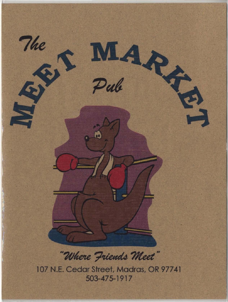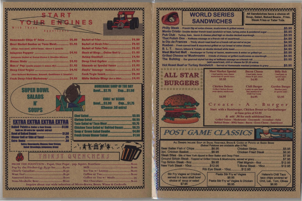



| <b>Romemade Chips A' Salva  \$2.00</b>                      |  |
|-------------------------------------------------------------|--|
| Meet Market Gacher w/ Taco Meat  \$5.95                     |  |
| (Ohip), loop meat, refried beans, abvere & gamish)          |  |
|                                                             |  |
| (laiapeno: Stuffed 10/ Oream Cheare & Oheddar Oheere)       |  |
|                                                             |  |
| Moz n' Pop (comba popper: & mozza Mix)  \$5.95              |  |
| Deep Fried Vegler  \$4.95                                   |  |
| (Beer Boltered My/hrooms, Broodoll, Cauliflawer & Zucchini) |  |
| Fresh Deep Fried Mushrooms  \$4.95                          |  |

| Barket of Frier  \$9.00                         |  |
|-------------------------------------------------|--|
| Barket of Steak Frier \$2.25                    |  |
| Basket of Tates Tols \$2.95                     |  |
| Stack of Rings Onion that is  \$3.95            |  |
| <b>Shrimp Coekteil  \$4.95</b>                  |  |
| Deep Fried Oysters  \$4.95                      |  |
|                                                 |  |
| <b>Gizzards w/ Special Sauce  \$3.95</b>        |  |
| Fizzlin' Saurage (Keibara)  \$3.95              |  |
| Fresh Vegle Snack \$2.50                        |  |
| <b>White Buffalo Wings (Not or Mild) \$4.95</b> |  |

**IE DAY** 

 $\_$1.50$ 

 $$1.75$ 

**\$5.05** 

**SG 9** 

**S5.75 SG 25** 

\$4.0 **S150** 

\$1.00

 $$1,00$ 

 $$1.00$ 

 $$1.00$ 

 $$1.00$ 

|                                                                                                                                      | <b>SUPER BOWL</b><br><b>SALADS</b><br><b>SOUPS</b>                         |                                     | <b>HOWER LINES</b><br><b>Bowl\$2.75</b><br><b>BOWLES3.00</b>                                                                                                                             | CUI<br><b>CRILI W/ BEAN</b><br><b>GW</b><br><b><i><u>Cheese .50 ext</u></i></b> |
|--------------------------------------------------------------------------------------------------------------------------------------|----------------------------------------------------------------------------|-------------------------------------|------------------------------------------------------------------------------------------------------------------------------------------------------------------------------------------|---------------------------------------------------------------------------------|
| Baked Potato w. Butter & Seur Bream -<br><b>Bewi of Baked Beans</b><br><b>Dinner Roll or Side of Toast ---</b><br><b>Extra Items</b> | EXTRA EXTRA EXTRA EXTRA<br><b>(add on .50 oxtra for special extras)</b>    | $-$1.00$<br>- \$1.50<br>- 25<br>,50 | <b>Chef Salad</b><br><b>Shrimn Salad</b><br><b>Tace Salad W/ Tace Meat</b><br><b>Chicken Taco Salad w/ Refried Beans</b><br><b>Soup n' Green Salad Combo</b><br>Fresh Groen Dinner Salad |                                                                                 |
|                                                                                                                                      | Saisa; Gnacamole; Choese; Sour Cream;<br>Salad Bressings; Jalapenes; Gravy |                                     | ···· 香水图解读:<br>THIRST QUENCHERS                                                                                                                                                          |                                                                                 |
| and a seather of the seather than the con-                                                                                           | Pop by the Pitcher-Lg. \$3.50 Sm  \$3.00                                   |                                     | The Company and the same                                                                                                                                                                 |                                                                                 |

| Pop by the Pitcher-Lg. \$3.50 Sm  \$3.00 | Tee Tea w/ Lemon |
|------------------------------------------|------------------|
|                                          |                  |
|                                          |                  |
|                                          |                  |
|                                          |                  |

## **WORLD SERIES SANDWICHES**

Philly Steak - French Dip w/ swiss-cheese, mushroo Monte Cristo - Double decker french toast sandwich Pub Club - Turkey, ham, bacon & cheese piled high That Polish One - Keilbasa sausage on a french rol le Dip de Frances - Thinly sliced roast beef on a fr Rueben - Fresh corned beef & sauerkraut grilled on r B. L. T. - Bacon, lettuce & Tomato on double decked Meet Market Melt - Hamburger or Turkey w/ bacor Grilled Cheese w/ Mushrooms - 2 kinds of che The Bulldog - Our gourmet styled hot dog w/ keilba (add sauerkrau

**Hot Roast Beef or Turkey Sandwich - Serve** 





## 

All Sandwiches have a choice of: Soup, Salad, Baked Beans, Fries, **Steak Fries or Tater Tots.** 

| w/ ham, turkey, swiss & powdered sugar \$5.95 |  |
|-----------------------------------------------|--|
|                                               |  |
|                                               |  |
|                                               |  |
|                                               |  |
|                                               |  |
|                                               |  |
|                                               |  |
|                                               |  |
| t, chili or cheese for \$1.00 extra)          |  |
| w/ Homemade mashed potatoes & gravy\$5.95     |  |

**Bacon Cheese** I beef patty, bacon<br>cheese & spel, sauce \$4,95

**Chili Burger** I patty on open faced bon smothered w/ Chili Con Carne S4.95

**Billy Bob** 1 beef patty & special sauce \$3.95

**Garden Burger** Meatless patty<br>& special sauce

\$3.95

Start with a Hamburger, Chicken Breast or Gardenburger at base price of \$3.95

& add .50 for each additional item Grilled Onions - Mushrooms - Gnacamole - Avocadoes - Salsa Refried Beans - BBQ Sauce - Bacon - Extra Cheese - Sauerkraut



| <b>Chicken Strips</b><br>\$5.95<br>\$6.95<br>\$7.95                                        |  |
|--------------------------------------------------------------------------------------------|--|
|                                                                                            |  |
|                                                                                            |  |
|                                                                                            |  |
| \$7.95                                                                                     |  |
| Filet Mignon - 6oz  \$12.95                                                                |  |
| T-Bone Steak - 16oz\$12.95<br>10oz\$12.95                                                  |  |
| <b>Stir Fry w/ Vegies</b><br><b>Helene's Chili Taco</b><br>\$6.95<br>taco chips covered w/ |  |
| ry w/ Vegies & Chicken<br>Chili, Let., Tom, Olives<br>\$8.95<br>\$6.95                     |  |